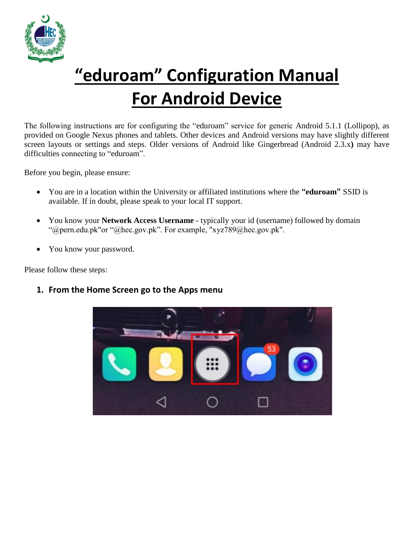

## **"eduroam" Configuration Manual For Android Device**

The following instructions are for configuring the "eduroam" service for generic Android 5.1.1 (Lollipop), as provided on Google Nexus phones and tablets. Other devices and Android versions may have slightly different screen layouts or settings and steps. Older versions of Android like Gingerbread (Android 2.3.x**)** may have difficulties connecting to "eduroam".

Before you begin, please ensure:

- You are in a location within the University or affiliated institutions where the **"eduroam"** SSID is available. If in doubt, please speak to your local IT support.
- You know your **Network Access Username**  typically your id (username) followed by domain "@pern.edu.pk"or "@hec.gov.pk". For example, "xyz789@hec.gov.pk".
- You know your password.

Please follow these steps:

**1. From the Home Screen go to the Apps menu**

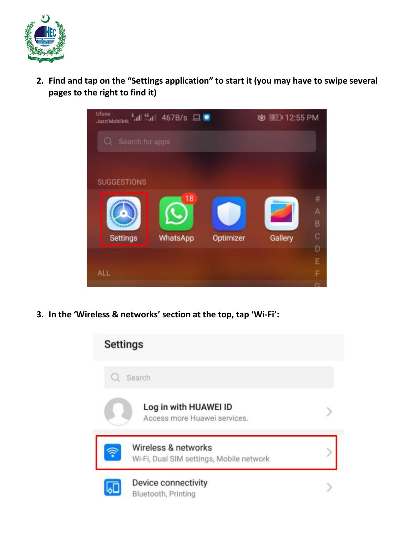

**2. Find and tap on the "Settings application" to start it (you may have to swipe several pages to the right to find it)**



**3. In the 'Wireless & networks' section at the top, tap 'Wi-Fi':**

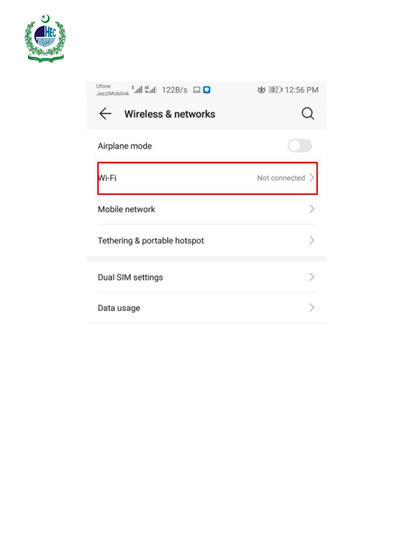

| Ufone<br><b>Eall #ail 122B/s 口口</b><br>Jazz Mobilink | め 32112:56 PM |
|------------------------------------------------------|---------------|
| Wireless & networks                                  |               |
| Airplane mode                                        |               |
| Wi-Fi                                                | Not connected |
| Mobile network                                       |               |
| Tethering & portable hotspot                         |               |
| Dual SIM settings                                    |               |
| Data usage                                           |               |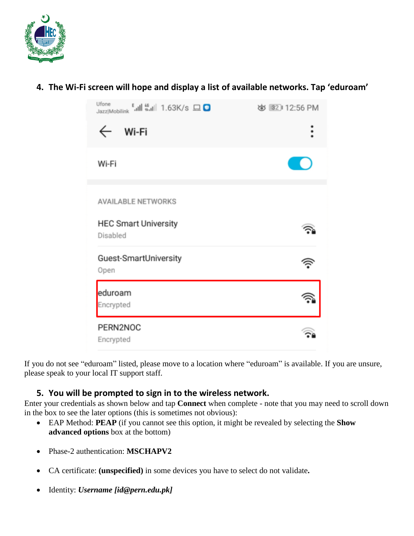

## **4. The Wi-Fi screen will hope and display a list of available networks. Tap 'eduroam'**

| Jazz Mobilink 44 1.63K/s O              | め 32 12:56 PM |
|-----------------------------------------|---------------|
| Wi-Fi                                   |               |
| Wi-Fi                                   |               |
| <b>AVAILABLE NETWORKS</b>               |               |
| <b>HEC Smart University</b><br>Disabled |               |
| Guest-SmartUniversity<br>Open           |               |
| eduroam<br>Encrypted                    |               |
| PERN2NOC<br>Encrypted                   |               |

If you do not see "eduroam" listed, please move to a location where "eduroam" is available. If you are unsure, please speak to your local IT support staff.

## **5. You will be prompted to sign in to the wireless network.**

Enter your credentials as shown below and tap **Connect** when complete - note that you may need to scroll down in the box to see the later options (this is sometimes not obvious):

- EAP Method: **PEAP** (if you cannot see this option, it might be revealed by selecting the **Show advanced options** box at the bottom)
- Phase-2 authentication: **MSCHAPV2**
- CA certificate: **(unspecified)** in some devices you have to select do not validate**.**
- Identity: *Username [id@pern.edu.pk]*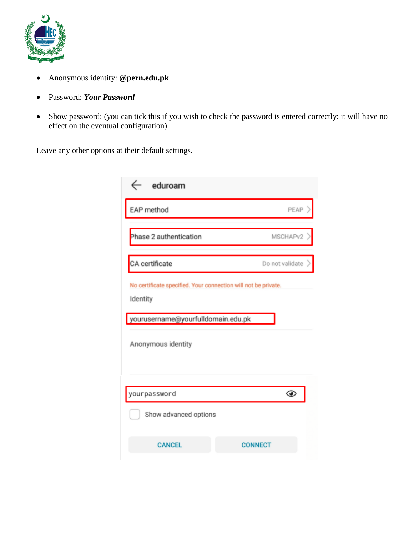

- Anonymous identity: **@pern.edu.pk**
- Password: *Your Password*
- Show password: (you can tick this if you wish to check the password is entered correctly: it will have no effect on the eventual configuration)

Leave any other options at their default settings.

| eduroam                                                                                                          |                 |  |
|------------------------------------------------------------------------------------------------------------------|-----------------|--|
| EAP method                                                                                                       | PEAP            |  |
| Phase 2 authentication                                                                                           | MSCHAPv2        |  |
| CA certificate                                                                                                   | Do not validate |  |
| No certificate specified. Your connection will not be private.<br>Identity<br>yourusername@yourfulldomain.edu.pk |                 |  |
| Anonymous identity                                                                                               |                 |  |
| yourpassword                                                                                                     | ⊙               |  |
| Show advanced options                                                                                            |                 |  |
| <b>CANCEL</b>                                                                                                    | <b>CONNECT</b>  |  |